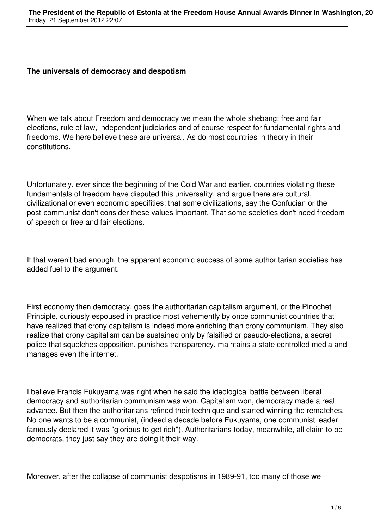## **The universals of democracy and despotism**

When we talk about Freedom and democracy we mean the whole shebang: free and fair elections, rule of law, independent judiciaries and of course respect for fundamental rights and freedoms. We here believe these are universal. As do most countries in theory in their constitutions.

Unfortunately, ever since the beginning of the Cold War and earlier, countries violating these fundamentals of freedom have disputed this universality, and argue there are cultural, civilizational or even economic specifities; that some civilizations, say the Confucian or the post-communist don't consider these values important. That some societies don't need freedom of speech or free and fair elections.

If that weren't bad enough, the apparent economic success of some authoritarian societies has added fuel to the argument.

First economy then democracy, goes the authoritarian capitalism argument, or the Pinochet Principle, curiously espoused in practice most vehemently by once communist countries that have realized that crony capitalism is indeed more enriching than crony communism. They also realize that crony capitalism can be sustained only by falsified or pseudo-elections, a secret police that squelches opposition, punishes transparency, maintains a state controlled media and manages even the internet.

I believe Francis Fukuyama was right when he said the ideological battle between liberal democracy and authoritarian communism was won. Capitalism won, democracy made a real advance. But then the authoritarians refined their technique and started winning the rematches. No one wants to be a communist, (indeed a decade before Fukuyama, one communist leader famously declared it was "glorious to get rich"). Authoritarians today, meanwhile, all claim to be democrats, they just say they are doing it their way.

Moreover, after the collapse of communist despotisms in 1989-91, too many of those we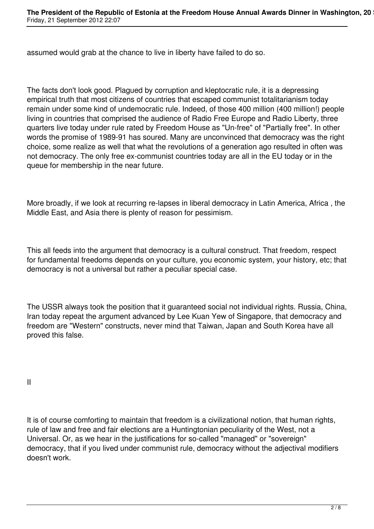assumed would grab at the chance to live in liberty have failed to do so.

The facts don't look good. Plagued by corruption and kleptocratic rule, it is a depressing empirical truth that most citizens of countries that escaped communist totalitarianism today remain under some kind of undemocratic rule. Indeed, of those 400 million (400 million!) people living in countries that comprised the audience of Radio Free Europe and Radio Liberty, three quarters live today under rule rated by Freedom House as "Un-free" of "Partially free". In other words the promise of 1989-91 has soured. Many are unconvinced that democracy was the right choice, some realize as well that what the revolutions of a generation ago resulted in often was not democracy. The only free ex-communist countries today are all in the EU today or in the queue for membership in the near future.

More broadly, if we look at recurring re-lapses in liberal democracy in Latin America, Africa , the Middle East, and Asia there is plenty of reason for pessimism.

This all feeds into the argument that democracy is a cultural construct. That freedom, respect for fundamental freedoms depends on your culture, you economic system, your history, etc; that democracy is not a universal but rather a peculiar special case.

The USSR always took the position that it guaranteed social not individual rights. Russia, China, Iran today repeat the argument advanced by Lee Kuan Yew of Singapore, that democracy and freedom are "Western" constructs, never mind that Taiwan, Japan and South Korea have all proved this false.

II

It is of course comforting to maintain that freedom is a civilizational notion, that human rights, rule of law and free and fair elections are a Huntingtonian peculiarity of the West, not a Universal. Or, as we hear in the justifications for so-called "managed" or "sovereign" democracy, that if you lived under communist rule, democracy without the adjectival modifiers doesn't work.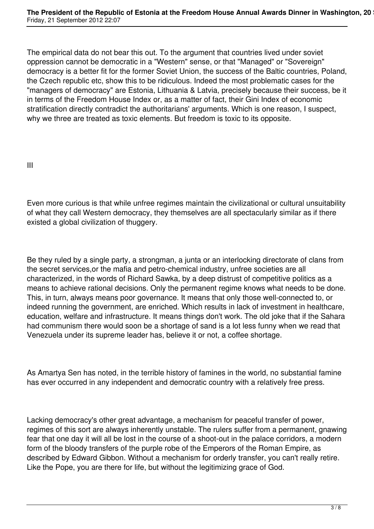The empirical data do not bear this out. To the argument that countries lived under soviet oppression cannot be democratic in a "Western" sense, or that "Managed" or "Sovereign" democracy is a better fit for the former Soviet Union, the success of the Baltic countries, Poland, the Czech republic etc, show this to be ridiculous. Indeed the most problematic cases for the "managers of democracy" are Estonia, Lithuania & Latvia, precisely because their success, be it in terms of the Freedom House Index or, as a matter of fact, their Gini Index of economic stratification directly contradict the authoritarians' arguments. Which is one reason, I suspect, why we three are treated as toxic elements. But freedom is toxic to its opposite.

III

Even more curious is that while unfree regimes maintain the civilizational or cultural unsuitability of what they call Western democracy, they themselves are all spectacularly similar as if there existed a global civilization of thuggery.

Be they ruled by a single party, a strongman, a junta or an interlocking directorate of clans from the secret services,or the mafia and petro-chemical industry, unfree societies are all characterized, in the words of Richard Sawka, by a deep distrust of competitive politics as a means to achieve rational decisions. Only the permanent regime knows what needs to be done. This, in turn, always means poor governance. It means that only those well-connected to, or indeed running the government, are enriched. Which results in lack of investment in healthcare, education, welfare and infrastructure. It means things don't work. The old joke that if the Sahara had communism there would soon be a shortage of sand is a lot less funny when we read that Venezuela under its supreme leader has, believe it or not, a coffee shortage.

As Amartya Sen has noted, in the terrible history of famines in the world, no substantial famine has ever occurred in any independent and democratic country with a relatively free press.

Lacking democracy's other great advantage, a mechanism for peaceful transfer of power, regimes of this sort are always inherently unstable. The rulers suffer from a permanent, gnawing fear that one day it will all be lost in the course of a shoot-out in the palace corridors, a modern form of the bloody transfers of the purple robe of the Emperors of the Roman Empire, as described by Edward Gibbon. Without a mechanism for orderly transfer, you can't really retire. Like the Pope, you are there for life, but without the legitimizing grace of God.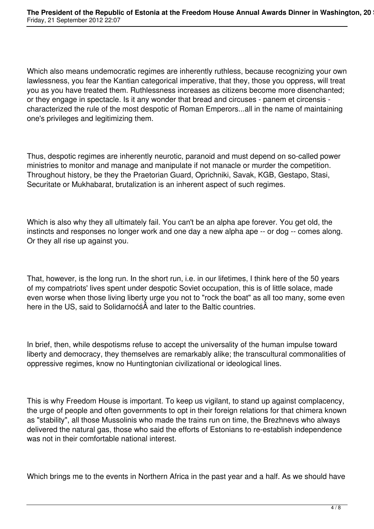Which also means undemocratic regimes are inherently ruthless, because recognizing your own lawlessness, you fear the Kantian categorical imperative, that they, those you oppress, will treat you as you have treated them. Ruthlessness increases as citizens become more disenchanted; or they engage in spectacle. Is it any wonder that bread and circuses - panem et circensis characterized the rule of the most despotic of Roman Emperors...all in the name of maintaining one's privileges and legitimizing them.

Thus, despotic regimes are inherently neurotic, paranoid and must depend on so-called power ministries to monitor and manage and manipulate if not manacle or murder the competition. Throughout history, be they the Praetorian Guard, Oprichniki, Savak, KGB, Gestapo, Stasi, Securitate or Mukhabarat, brutalization is an inherent aspect of such regimes.

Which is also why they all ultimately fail. You can't be an alpha ape forever. You get old, the instincts and responses no longer work and one day a new alpha ape -- or dog -- comes along. Or they all rise up against you.

That, however, is the long run. In the short run, i.e. in our lifetimes, I think here of the 50 years of my compatriots' lives spent under despotic Soviet occupation, this is of little solace, made even worse when those living liberty urge you not to "rock the boat" as all too many, some even here in the US, said to SolidarnoćśÂ and later to the Baltic countries.

In brief, then, while despotisms refuse to accept the universality of the human impulse toward liberty and democracy, they themselves are remarkably alike; the transcultural commonalities of oppressive regimes, know no Huntingtonian civilizational or ideological lines.

This is why Freedom House is important. To keep us vigilant, to stand up against complacency, the urge of people and often governments to opt in their foreign relations for that chimera known as "stability", all those Mussolinis who made the trains run on time, the Brezhnevs who always delivered the natural gas, those who said the efforts of Estonians to re-establish independence was not in their comfortable national interest.

Which brings me to the events in Northern Africa in the past year and a half. As we should have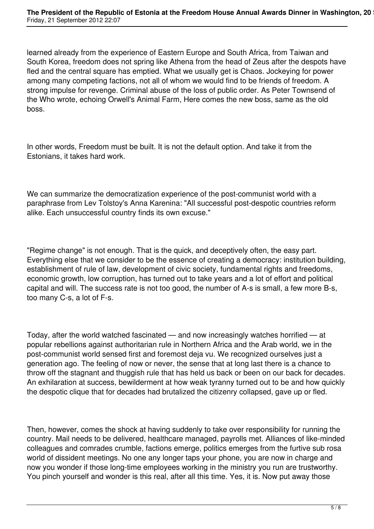learned already from the experience of Eastern Europe and South Africa, from Taiwan and South Korea, freedom does not spring like Athena from the head of Zeus after the despots have fled and the central square has emptied. What we usually get is Chaos. Jockeying for power among many competing factions, not all of whom we would find to be friends of freedom. A strong impulse for revenge. Criminal abuse of the loss of public order. As Peter Townsend of the Who wrote, echoing Orwell's Animal Farm, Here comes the new boss, same as the old boss.

In other words, Freedom must be built. It is not the default option. And take it from the Estonians, it takes hard work.

We can summarize the democratization experience of the post-communist world with a paraphrase from Lev Tolstoy's Anna Karenina: "All successful post-despotic countries reform alike. Each unsuccessful country finds its own excuse."

"Regime change" is not enough. That is the quick, and deceptively often, the easy part. Everything else that we consider to be the essence of creating a democracy: institution building, establishment of rule of law, development of civic society, fundamental rights and freedoms, economic growth, low corruption, has turned out to take years and a lot of effort and political capital and will. The success rate is not too good, the number of A-s is small, a few more B-s, too many C-s, a lot of F-s.

Today, after the world watched fascinated — and now increasingly watches horrified — at popular rebellions against authoritarian rule in Northern Africa and the Arab world, we in the post-communist world sensed first and foremost deja vu. We recognized ourselves just a generation ago. The feeling of now or never, the sense that at long last there is a chance to throw off the stagnant and thuggish rule that has held us back or been on our back for decades. An exhilaration at success, bewilderment at how weak tyranny turned out to be and how quickly the despotic clique that for decades had brutalized the citizenry collapsed, gave up or fled.

Then, however, comes the shock at having suddenly to take over responsibility for running the country. Mail needs to be delivered, healthcare managed, payrolls met. Alliances of like-minded colleagues and comrades crumble, factions emerge, politics emerges from the furtive sub rosa world of dissident meetings. No one any longer taps your phone, you are now in charge and now you wonder if those long-time employees working in the ministry you run are trustworthy. You pinch yourself and wonder is this real, after all this time. Yes, it is. Now put away those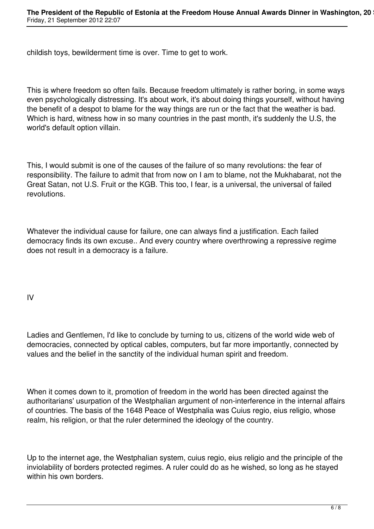childish toys, bewilderment time is over. Time to get to work.

This is where freedom so often fails. Because freedom ultimately is rather boring, in some ways even psychologically distressing. It's about work, it's about doing things yourself, without having the benefit of a despot to blame for the way things are run or the fact that the weather is bad. Which is hard, witness how in so many countries in the past month, it's suddenly the U.S, the world's default option villain.

This, I would submit is one of the causes of the failure of so many revolutions: the fear of responsibility. The failure to admit that from now on I am to blame, not the Mukhabarat, not the Great Satan, not U.S. Fruit or the KGB. This too, I fear, is a universal, the universal of failed revolutions.

Whatever the individual cause for failure, one can always find a justification. Each failed democracy finds its own excuse.. And every country where overthrowing a repressive regime does not result in a democracy is a failure.

IV

Ladies and Gentlemen, I'd like to conclude by turning to us, citizens of the world wide web of democracies, connected by optical cables, computers, but far more importantly, connected by values and the belief in the sanctity of the individual human spirit and freedom.

When it comes down to it, promotion of freedom in the world has been directed against the authoritarians' usurpation of the Westphalian argument of non-interference in the internal affairs of countries. The basis of the 1648 Peace of Westphalia was Cuius regio, eius religio, whose realm, his religion, or that the ruler determined the ideology of the country.

Up to the internet age, the Westphalian system, cuius regio, eius religio and the principle of the inviolability of borders protected regimes. A ruler could do as he wished, so long as he stayed within his own borders.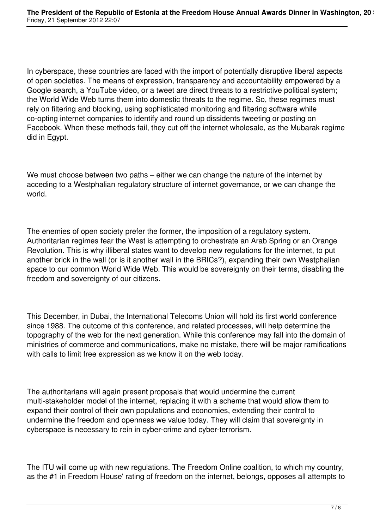In cyberspace, these countries are faced with the import of potentially disruptive liberal aspects of open societies. The means of expression, transparency and accountability empowered by a Google search, a YouTube video, or a tweet are direct threats to a restrictive political system; the World Wide Web turns them into domestic threats to the regime. So, these regimes must rely on filtering and blocking, using sophisticated monitoring and filtering software while co-opting internet companies to identify and round up dissidents tweeting or posting on Facebook. When these methods fail, they cut off the internet wholesale, as the Mubarak regime did in Egypt.

We must choose between two paths – either we can change the nature of the internet by acceding to a Westphalian regulatory structure of internet governance, or we can change the world.

The enemies of open society prefer the former, the imposition of a regulatory system. Authoritarian regimes fear the West is attempting to orchestrate an Arab Spring or an Orange Revolution. This is why illiberal states want to develop new regulations for the internet, to put another brick in the wall (or is it another wall in the BRICs?), expanding their own Westphalian space to our common World Wide Web. This would be sovereignty on their terms, disabling the freedom and sovereignty of our citizens.

This December, in Dubai, the International Telecoms Union will hold its first world conference since 1988. The outcome of this conference, and related processes, will help determine the topography of the web for the next generation. While this conference may fall into the domain of ministries of commerce and communications, make no mistake, there will be major ramifications with calls to limit free expression as we know it on the web today.

The authoritarians will again present proposals that would undermine the current multi-stakeholder model of the internet, replacing it with a scheme that would allow them to expand their control of their own populations and economies, extending their control to undermine the freedom and openness we value today. They will claim that sovereignty in cyberspace is necessary to rein in cyber-crime and cyber-terrorism.

The ITU will come up with new regulations. The Freedom Online coalition, to which my country, as the #1 in Freedom House' rating of freedom on the internet, belongs, opposes all attempts to